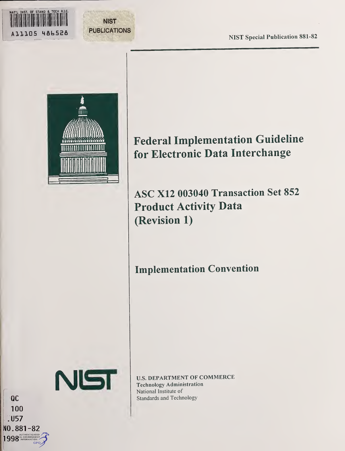



# Federal Implementation Guideline for Electronic Data Interchange

# ASC X12 003040 Transaction Set 852 Product Activity Data (Revision 1)

# Implementation Convention



U.S. DEPARTMENT OF COMMERCE Technology Administration National Institute of Standards and Technology

QC 100 . U57 MO. 881 -82 1998 INFOR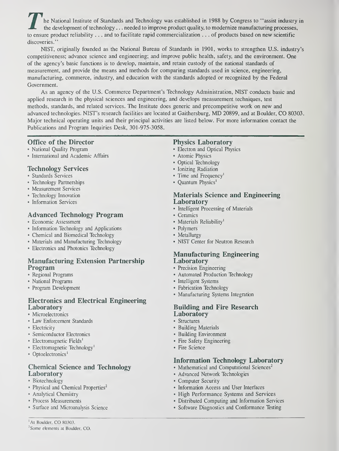he National Institute of Standards and Technology was established in 1988 by Congress to "assist industry in the development of technology  $\dots$  needed to improve product quality, to modernize manufacturing processes, to ensure product reliability . . . and to facilitate rapid commercialization ... of products based on new scientific discoveries."

NIST, originally founded as the National Bureau of Standards in 1901, works to strengthen U.S. industry's competitiveness; advance science and engineering; and improve public health, safety, and the environment. One of the agency's basic functions is to develop, maintain, and retain custody of the national standards of measurement, and provide the means and methods for comparing standards used in science, engineering, manufacturing, commerce, industry, and education with the standards adopted or recognized by the Federal Government.

As an agency of the U.S. Commerce Department's Technology Administration, NIST conducts basic and applied research in the physical sciences and engineering, and develops measurement techniques, test methods, standards, and related services. The Institute does generic and precompetitive work on new and advanced technologies. NIST's research facilities are located at Gaithersburg, MD 20899, and at Boulder, CO 80303. Major technical operating units and their principal activities are listed below. For more information contact the Publications and Program Inquiries Desk, 301-975-3058.

## Office of the Director

- National Quality Program
- International and Academic Affairs

## Technology Services

- Standards Services
- Technology Partnerships
- Measurement Services
- Technology Innovation
- Information Services

## Advanced Technology Program

- Economic Assessment
- Information Technology and Applications
- Chemical and Biomedical Technology
- Materials and Manufacturing Technology
- Electronics and Photonics Technology

## Manufacturing Extension Partnership Program

- Regional Programs
- National Programs
- Program Development

## Electronics and Electrical Engineering **Laboratory**

- Microelectronics
- Law Enforcement Standards
- Electricity
- Semiconductor Electronics
- Electromagnetic Fields'
- Electromagnetic Technology<sup>1</sup>
- Optoelectronics<sup>1</sup>

## Chemical Science and Technology Laboratory

- Biotechnology
- Physical and Chemical Properties<sup>2</sup>
- Analytical Chemistry
- Process Measurements
- Surface and Microanalysis Science

## Physics Laboratory

- Electron and Optical Physics
- Atomic Physics
- Optical Technology
- Ionizing Radiation
- Time and Frequency<sup>1</sup>
- Quantum Physics'

## Materials Science and Engineering Laboratory

- Intelligent Processing of Materials
- Ceramics
- Materials Reliability'
- Polymers
- Metallurgy
- NIST Center for Neutron Research

## Manufacturing Engineering Laboratory

- Precision Engineering
- Automated Production Technology
- Intelligent Systems
- Fabrication Technology
- Manufacturing Systems Integration

## Building and Fire Research Laboratory

- Structures
- Building Materials
- Building Environment
- Fire Safety Engineering
- Fire Science

## Information Technology Laboratory

- Mathematical and Computational Sciences<sup>2</sup>
- Advanced Network Technologies
- Computer Security
- Information Access and User Interfaces
- High Performance Systems and Services
- Distributed Computing and Information Services
- Software Diagnostics and Conformance Testing

<sup>1</sup>At Boulder, CO 80303.  $<sup>2</sup>$ Some elements at Boulder, CO.</sup>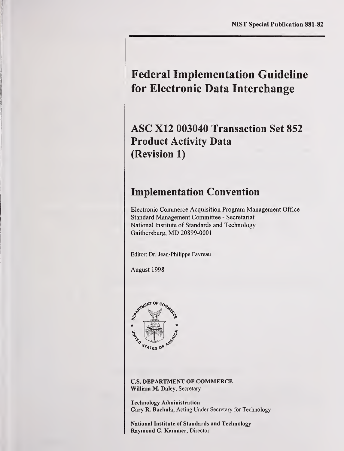# Federal Implementation Guideline for Electronic Data Interchange

## ASC X12 003040 Transaction Set 852 Product Activity Data (Revision 1)

## Implementation Convention

Electronic Commerce Acquisition Program Management Office Standard Management Committee - Secretariat National Institute of Standards and Technology Gaithersburg, MD 20899-0001

Editor: Dr. Jean-Philippe Favreau

August 1998



U.S. DEPARTMENT OF COMMERCE William M. Daley, Secretary

Technology Administration Gary R. Bachula, Acting Under Secretary for Technology

National Institute of Standards and Technology Raymond G. Kammer, Director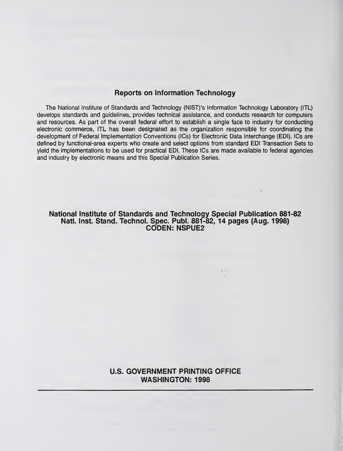## Reports on Information Technology

The National Institute of Standards and Technology (NIST)'s Information Technology Laboratory (ITL) develops standards and guidelines, provides technical assistance, and conducts research for computers and resources. As part of the overall federal effort to establish a single face to industry for conducting electronic commerce, ITL has been designated as the organization responsible for coordinating the development of Federal Implementation Conventions (ICs) for Electronic Data Interchange (EDI). ICs are defined by functional-area experts who create and select options from standard EDI Transaction Sets to yield the implementations to be used for practical EDI. These ICs are made available to federal agencies and industry by electronic means and this Special Publication Series.

#### National Institute of Standards and Technology Special Publication 881-82 Natl. Inst. Stand. Technol. Spec. Publ. 881-82, 14 pages (Aug. 1998) CODEN: NSPUE2

 $\mathbf{r}$ 

U.S. GOVERNMENT PRINTING OFFICE WASHINGTON: 1998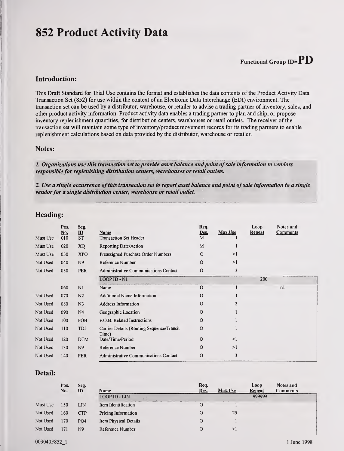# 852 Product Activity Data

## Functional Group ID=PD

#### Introduction:

This Draft Standard for Trial Use contains the format and establishes the data contents of the Product Activity Data Transaction Set (852) for use within the context of an Electronic Data Interchange (EDI) environment. The transaction set can be used by a distributor, warehouse, or retailer to advise a trading partner of inventory, sales, and other product activity information. Product activity data enables a trading partner to plan and ship, or propose inventory replenishment quantities, for distribution centers, warehouses or retail outlets. The receiver of the transaction set will maintain some type of inventory/product movement records for its trading partners to enable replenishment calculations based on data provided by the distributor, warehouse or retailer.

#### Notes:

1. Organizations use this transaction set to provide asset balance and point of sale information to vendors responsible for replenishing distribution centers, warehouses or retail outlets.

2. Use a single occurrence of this transaction set to report asset balance and point of sale information to a single vendor for a single distribution center, warehouse or retail outlet.

#### Heading:

| Must Use | Pos.<br><u>No.</u><br>010 | Seg.<br>$rac{ID}{ST}$ | <b>Name</b><br><b>Transaction Set Header</b>                                                                  | Req.<br>Des.<br>M | Max.Use        | Loop<br><b>Repeat</b> | Notes and<br><b>Comments</b> |
|----------|---------------------------|-----------------------|---------------------------------------------------------------------------------------------------------------|-------------------|----------------|-----------------------|------------------------------|
| Must Use | 020                       | <b>XQ</b>             | <b>Reporting Date/Action</b>                                                                                  | M                 |                |                       |                              |
| Must Use | 030                       | <b>XPO</b>            | Preassigned Purchase Order Numbers                                                                            | $\Omega$          | >1             |                       |                              |
| Not Used | 040                       | N <sub>9</sub>        | Reference Number                                                                                              | $\Omega$          | >1             |                       |                              |
| Not Used | 050                       | <b>PER</b>            | <b>Administrative Communications Contact</b>                                                                  | $\Omega$          | 3              |                       |                              |
|          |                           |                       | LOOP ID - N1                                                                                                  |                   |                | 200                   |                              |
|          | 060                       | N1                    | aragint are considerably an interference and the construction of the constant of the control and con-<br>Name | O                 |                |                       | nl                           |
| Not Used | 070                       | N <sub>2</sub>        | <b>Additional Name Information</b>                                                                            | $\Omega$          |                |                       |                              |
| Not Used | 080                       | N <sub>3</sub>        | Address Information                                                                                           | $\Omega$          | $\overline{c}$ |                       |                              |
| Not Used | 090                       | N <sub>4</sub>        | Geographic Location                                                                                           | $\Omega$          |                |                       |                              |
| Not Used | 100                       | <b>FOB</b>            | F.O.B. Related Instructions                                                                                   | $\Omega$          |                |                       |                              |
| Not Used | 110                       | TD <sub>5</sub>       | Carrier Details (Routing Sequence/Transit<br>Time)                                                            | $\circ$           |                |                       |                              |
| Not Used | 120                       | <b>DTM</b>            | Date/Time/Period                                                                                              | $\Omega$          | >1             |                       |                              |
| Not Used | 130                       | N <sub>9</sub>        | Reference Number                                                                                              | $\Omega$          | >1             |                       |                              |
| Not Used | 140                       | <b>PER</b>            | Administrative Communications Contact                                                                         | $\Omega$          | 3              |                       |                              |

## Detail:

|          | Pos.<br>$\underline{\text{No}}$ . | Seg.<br>$\underline{\mathbf{ID}}$ | Name                  | Req.<br>Des. | Max.Use | Loop<br>Repeat | Notes and<br><b>Comments</b> |  |
|----------|-----------------------------------|-----------------------------------|-----------------------|--------------|---------|----------------|------------------------------|--|
|          |                                   |                                   | LOOP ID - LIN         |              |         | 999999         |                              |  |
| Must Use | 150                               | LIN                               | Item Identification   | Ő            |         |                |                              |  |
| Not Used | 160                               | <b>CTP</b>                        | Pricing Information   | О            | 25      |                |                              |  |
| Not Used | 170                               | PO <sub>4</sub>                   | Item Physical Details | О            |         |                |                              |  |
| Not Used | 171                               | N <sup>9</sup>                    | Reference Number      | О            | >1      |                |                              |  |
|          |                                   |                                   |                       |              |         |                |                              |  |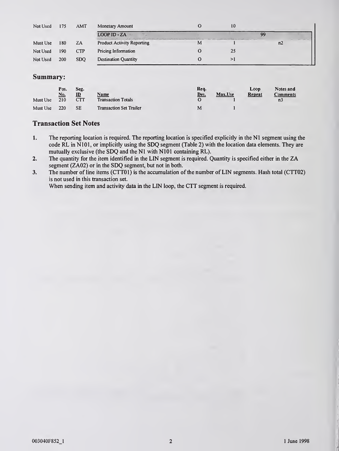| Not Used | 175 | AMT        | Monetary Amount                   |   | 10                                         |    |               |
|----------|-----|------------|-----------------------------------|---|--------------------------------------------|----|---------------|
|          |     |            | LOOP ID - ZA                      |   | THE ARE TRISTENSIVE COMMONSTRATIONS - SALE | 99 |               |
| Must Use | 180 | ZA         | <b>Product Activity Reporting</b> | M |                                            |    | men ste<br>n2 |
| Not Used | 190 | <b>CTP</b> | Pricing Information               |   | 25                                         |    |               |
| Not Used | 200 | <b>SDO</b> | <b>Destination Quantity</b>       |   |                                            |    |               |

#### Summary:

| Must Use | Pos.<br><u>No.</u><br>210 | Seg.<br>$\mathbf{ID}$<br><b>CTT</b> | <b>Name</b><br><b>Transaction Totals</b> | Req.<br>Des. | Max.Use | Loop<br>Repeat | Notes and<br>Comments<br>nJ |
|----------|---------------------------|-------------------------------------|------------------------------------------|--------------|---------|----------------|-----------------------------|
| Must Use | 220                       | <b>SE</b>                           | <b>Transaction Set Trailer</b>           | M            |         |                |                             |

#### Transaction Set Notes

- 1. The reporting location is required. The reporting location is specified explicitly in the Nl segment using the code RL in NlOl, or implicitly using the SDQ segment (Table 2) with the location data elements. They are mutually exclusive (the SDQ and the N1 with N101 containing RL).
- The quantity for the item identified in the LIN segment is required. Quantity is specified either in the ZA  $2.$ segment (ZA02) or in the SDQ segment, but not in both.
- The number of line items (CTTOl) is the accumulation of the number of LIN segments. Hash total (CTT02)  $3.$ is not used in this transaction set.

When sending item and activity data in the LIN loop, the CTT segment is required.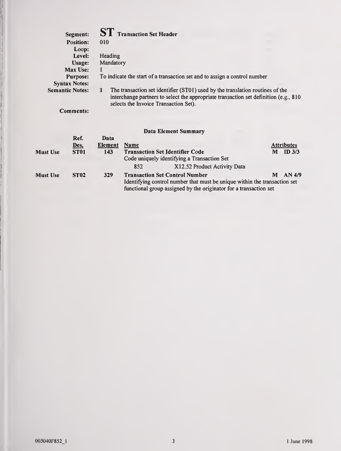| Segment:               | <b>ST</b> Transaction Set Header                                                                                                                                                                                     |
|------------------------|----------------------------------------------------------------------------------------------------------------------------------------------------------------------------------------------------------------------|
| <b>Position:</b>       | 010                                                                                                                                                                                                                  |
| Loop:                  |                                                                                                                                                                                                                      |
| Level:                 | Heading                                                                                                                                                                                                              |
| Usage:                 | Mandatory                                                                                                                                                                                                            |
| Max Use:               |                                                                                                                                                                                                                      |
| <b>Purpose:</b>        | To indicate the start of a transaction set and to assign a control number                                                                                                                                            |
| <b>Syntax Notes:</b>   |                                                                                                                                                                                                                      |
| <b>Semantic Notes:</b> | The transaction set identifier (ST01) used by the translation routines of the<br>1<br>interchange partners to select the appropriate transaction set definition (e.g., 810)<br>selects the Invoice Transaction Set). |

Comments:

ļJ.

## Data Element Summary

|                 | Ref.<br>Des. | Data<br><b>Element</b> | Name |                                                                                                                                                                                         |   | <b>Attributes</b> |
|-----------------|--------------|------------------------|------|-----------------------------------------------------------------------------------------------------------------------------------------------------------------------------------------|---|-------------------|
| <b>Must Use</b> | <b>ST01</b>  | 143                    |      | <b>Transaction Set Identifier Code</b>                                                                                                                                                  | M | ID $3/3$          |
|                 |              |                        |      | Code uniquely identifying a Transaction Set                                                                                                                                             |   |                   |
|                 |              |                        | 852  | X12.52 Product Activity Data                                                                                                                                                            |   |                   |
| <b>Must Use</b> | <b>ST02</b>  | 329                    |      | <b>Transaction Set Control Number</b><br>Identifying control number that must be unique within the transaction set<br>functional group assigned by the originator for a transaction set | M | AN 4/9            |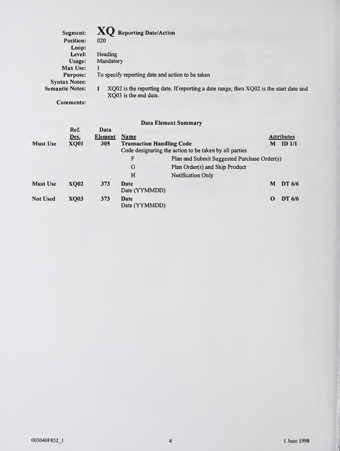| Segment:               | Reporting Date/Action                                                                                           |
|------------------------|-----------------------------------------------------------------------------------------------------------------|
| <b>Position:</b>       | 020                                                                                                             |
| Loop:                  |                                                                                                                 |
| Level:                 | Heading                                                                                                         |
| Usage:                 | Mandatory                                                                                                       |
| Max Use:               |                                                                                                                 |
| <b>Purpose:</b>        | To specify reporting date and action to be taken                                                                |
| <b>Syntax Notes:</b>   |                                                                                                                 |
| <b>Semantic Notes:</b> | XQ02 is the reporting date. If reporting a date range, then XQ02 is the start date and<br>XQ03 is the end date. |
| <b>Comments:</b>       |                                                                                                                 |

## Data Element Summary

| <b>Must Use</b> | Ref.<br>Des.<br><b>XQ01</b> | Data<br><b>Element</b><br>305 | Name<br><b>Transaction Handling Code</b> | <b>Attributes</b><br>$ID$ $1/1$<br>М<br>Code designating the action to be taken by all parties |
|-----------------|-----------------------------|-------------------------------|------------------------------------------|------------------------------------------------------------------------------------------------|
|                 |                             |                               | F                                        | Plan and Submit Suggested Purchase Order(s)                                                    |
|                 |                             |                               | G                                        | Plan Order(s) and Ship Product                                                                 |
|                 |                             |                               | H                                        | <b>Notification Only</b>                                                                       |
| <b>Must Use</b> | <b>XQ02</b>                 | 373                           | Date<br>Date (YYMMDD)                    | M<br>DT 6/6<br>$\mathbf{h}_i$                                                                  |
| <b>Not Used</b> | <b>XQ03</b>                 | 373                           | Date<br>Date (YYMMDD)                    | DT 6/6<br>O                                                                                    |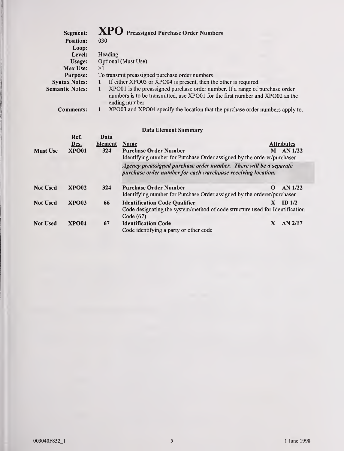# XPO Preassigned Purchase Order Numbers

| Segment:               | <b>XPO</b> Preassigned Purchase Order Numbers                                                                                                                                   |
|------------------------|---------------------------------------------------------------------------------------------------------------------------------------------------------------------------------|
| <b>Position:</b>       | 030                                                                                                                                                                             |
| Loop:                  |                                                                                                                                                                                 |
| Level:                 | <b>Heading</b>                                                                                                                                                                  |
| Usage:                 | <b>Optional</b> (Must Use)                                                                                                                                                      |
| <b>Max Use:</b>        | >1                                                                                                                                                                              |
| <b>Purpose:</b>        | To transmit preassigned purchase order numbers                                                                                                                                  |
| <b>Syntax Notes:</b>   | If either XPO03 or XPO04 is present, then the other is required.                                                                                                                |
| <b>Semantic Notes:</b> | XPO01 is the preassigned purchase order number. If a range of purchase order<br>numbers is to be transmitted, use XPO01 for the first number and XPO02 as the<br>ending number. |
| Comments:              | XPO03 and XPO04 specify the location that the purchase order numbers apply to.                                                                                                  |

## Data Element Summary

|                 | Ref.  | Data           |                                                                                                                                    |          |                   |
|-----------------|-------|----------------|------------------------------------------------------------------------------------------------------------------------------------|----------|-------------------|
|                 | Des.  | <b>Element</b> | Name                                                                                                                               |          | <b>Attributes</b> |
| <b>Must Use</b> | XPO01 | 324            | <b>Purchase Order Number</b><br>Identifying number for Purchase Order assigned by the orderer/purchaser                            | M        | AN 1/22           |
|                 |       |                | Agency preassigned purchase order number. There will be a separate<br>purchase order number for each warehouse receiving location. |          |                   |
| <b>Not Used</b> | XPO02 | 324            | <b>Purchase Order Number</b><br>Identifying number for Purchase Order assigned by the orderer/purchaser                            | $\Omega$ | $AN$ 1/22         |
| <b>Not Used</b> | XPO03 | 66             | <b>Identification Code Qualifier</b><br>Code designating the system/method of code structure used for Identification<br>Code (67)  | X.       | ID <sub>1/2</sub> |
| <b>Not Used</b> | XPO04 | 67             | <b>Identification Code</b><br>Code identifying a party or other code                                                               |          | $AN$ 2/17         |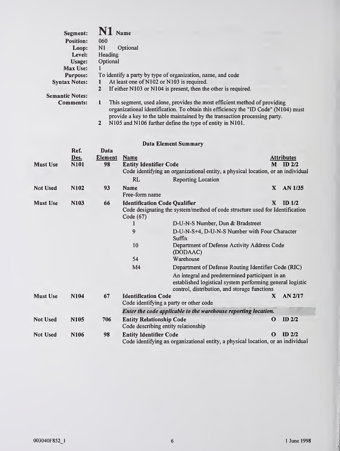|                 | Segment:<br><b>Position:</b><br>Loop:<br>Level:<br><b>Usage:</b><br>Max Use:<br><b>Purpose:</b><br><b>Syntax Notes:</b><br><b>Semantic Notes:</b><br><b>Comments:</b> | N1 Name<br>060<br>N1<br>Heading<br>Optional<br>$\mathbf 1$<br>$\overline{2}$<br>$\mathbf{1}$<br>$\overline{2}$ | Optional                        | To identify a party by type of organization, name, and code<br>At least one of N102 or N103 is required.<br>If either N103 or N104 is present, then the other is required.<br>This segment, used alone, provides the most efficient method of providing<br>organizational identification. To obtain this efficiency the "ID Code" (N104) must<br>provide a key to the table maintained by the transaction processing party.<br>N105 and N106 further define the type of entity in N101. |              |                   |
|-----------------|-----------------------------------------------------------------------------------------------------------------------------------------------------------------------|----------------------------------------------------------------------------------------------------------------|---------------------------------|-----------------------------------------------------------------------------------------------------------------------------------------------------------------------------------------------------------------------------------------------------------------------------------------------------------------------------------------------------------------------------------------------------------------------------------------------------------------------------------------|--------------|-------------------|
|                 |                                                                                                                                                                       |                                                                                                                |                                 | <b>Data Element Summary</b>                                                                                                                                                                                                                                                                                                                                                                                                                                                             |              |                   |
|                 | Ref.                                                                                                                                                                  | Data                                                                                                           |                                 |                                                                                                                                                                                                                                                                                                                                                                                                                                                                                         |              |                   |
|                 | Des.                                                                                                                                                                  | <b>Element</b>                                                                                                 | <b>Name</b>                     |                                                                                                                                                                                                                                                                                                                                                                                                                                                                                         |              | <b>Attributes</b> |
| <b>Must Use</b> | <b>N101</b>                                                                                                                                                           | 98                                                                                                             | <b>Entity Identifier Code</b>   |                                                                                                                                                                                                                                                                                                                                                                                                                                                                                         |              | $M$ ID $2/2$      |
|                 |                                                                                                                                                                       |                                                                                                                |                                 | Code identifying an organizational entity, a physical location, or an individual                                                                                                                                                                                                                                                                                                                                                                                                        |              |                   |
|                 |                                                                                                                                                                       |                                                                                                                | <b>RL</b>                       | <b>Reporting Location</b>                                                                                                                                                                                                                                                                                                                                                                                                                                                               |              |                   |
| Not Used        | N102                                                                                                                                                                  | 93                                                                                                             | <b>Name</b><br>Free-form name   |                                                                                                                                                                                                                                                                                                                                                                                                                                                                                         | X            | AN 1/35           |
| <b>Must Use</b> | <b>N103</b>                                                                                                                                                           | 66                                                                                                             | Code (67)                       | <b>Identification Code Qualifier</b><br>Code designating the system/method of code structure used for Identification                                                                                                                                                                                                                                                                                                                                                                    | X            | ID $1/2$          |
|                 |                                                                                                                                                                       |                                                                                                                |                                 | D-U-N-S Number, Dun & Bradstreet                                                                                                                                                                                                                                                                                                                                                                                                                                                        |              |                   |
|                 |                                                                                                                                                                       |                                                                                                                | 9                               | D-U-N-S+4, D-U-N-S Number with Four Character<br>Suffix                                                                                                                                                                                                                                                                                                                                                                                                                                 |              |                   |
|                 |                                                                                                                                                                       |                                                                                                                | 10                              | Department of Defense Activity Address Code<br>(DODAAC)                                                                                                                                                                                                                                                                                                                                                                                                                                 |              |                   |
|                 |                                                                                                                                                                       |                                                                                                                | 54                              | Warehouse                                                                                                                                                                                                                                                                                                                                                                                                                                                                               |              |                   |
|                 |                                                                                                                                                                       |                                                                                                                | M <sub>4</sub>                  | Department of Defense Routing Identifier Code (RIC)                                                                                                                                                                                                                                                                                                                                                                                                                                     |              |                   |
|                 |                                                                                                                                                                       |                                                                                                                |                                 | An integral and predetermined participant in an<br>established logistical system performing general logistic<br>control, distribution, and storage functions                                                                                                                                                                                                                                                                                                                            |              |                   |
| <b>Must Use</b> | N104                                                                                                                                                                  | 67                                                                                                             | <b>Identification Code</b>      | Code identifying a party or other code                                                                                                                                                                                                                                                                                                                                                                                                                                                  | $\mathbf{X}$ | AN 2/17           |
|                 |                                                                                                                                                                       |                                                                                                                |                                 | Enter the code applicable to the warehouse reporting location.                                                                                                                                                                                                                                                                                                                                                                                                                          |              |                   |
| <b>Not Used</b> | N105                                                                                                                                                                  | 706                                                                                                            | <b>Entity Relationship Code</b> |                                                                                                                                                                                                                                                                                                                                                                                                                                                                                         | $\mathbf O$  | ID $2/2$          |
|                 |                                                                                                                                                                       |                                                                                                                |                                 | Code describing entity relationship                                                                                                                                                                                                                                                                                                                                                                                                                                                     |              |                   |
| Not Used        | N106                                                                                                                                                                  | 98                                                                                                             | <b>Entity Identifier Code</b>   | Code identifying an organizational entity, a physical location, or an individual                                                                                                                                                                                                                                                                                                                                                                                                        | O            | ID $2/2$          |

Ï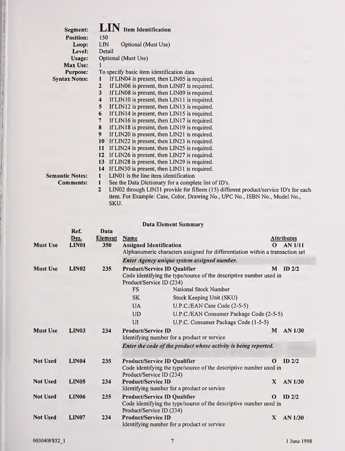| Segment:               | LIN<br><b>Item Identification</b>                                                                      |
|------------------------|--------------------------------------------------------------------------------------------------------|
| <b>Position:</b>       | 150                                                                                                    |
| Loop:                  | <b>Optional</b> (Must Use)<br>LIN                                                                      |
| Level:                 | Detail                                                                                                 |
| Usage:                 | Optional (Must Use)                                                                                    |
| <b>Max Use:</b>        |                                                                                                        |
| <b>Purpose:</b>        | To specify basic item identification data                                                              |
| <b>Syntax Notes:</b>   | If LIN04 is present, then LIN05 is required.<br>1                                                      |
|                        | If LINO6 is present, then LINO7 is required.<br>$\overline{2}$                                         |
|                        | 3<br>If LIN08 is present, then LIN09 is required.                                                      |
|                        | If LIN10 is present, then LIN11 is required.<br>$\overline{\mathbf{4}}$                                |
|                        | If LIN12 is present, then LIN13 is required.<br>5                                                      |
|                        | If LIN14 is present, then LIN15 is required.<br>6                                                      |
|                        | If LIN16 is present, then LIN17 is required.<br>$\overline{7}$                                         |
|                        | 8<br>If LIN18 is present, then LIN19 is required.                                                      |
|                        | 9<br>If LIN20 is present, then LIN21 is required.                                                      |
|                        | If LIN22 is present, then LIN23 is required.<br>10                                                     |
|                        | If LIN24 is present, then LIN25 is required.<br>11                                                     |
|                        | If LIN26 is present, then LIN27 is required.<br>12                                                     |
|                        | If LIN28 is present, then LIN29 is required.<br>13                                                     |
|                        | If LIN30 is present, then LIN31 is required.<br>14                                                     |
| <b>Semantic Notes:</b> | LIN01 is the line item identification<br>$\mathbf{1}$                                                  |
| <b>Comments:</b>       | See the Data Dictionary for a complete list of ID's.<br>1                                              |
|                        | $\overline{2}$<br>LIN02 through LIN31 provide for fifteen (15) different product/service ID's for each |
|                        | item. For Example: Case, Color, Drawing No., UPC No., ISBN No., Model No.,<br>SKU.                     |

| Data Element Summary |  |
|----------------------|--|
|----------------------|--|

| <b>Must Use</b> | Ref.<br>Des.<br><b>LIN01</b> | Data<br><b>Element</b><br>350 | Name<br><b>Assigned Identification</b>                          | Alphanumeric characters assigned for differentiation within a transaction set | O            | <b>Attributes</b><br><b>AN 1/11</b> |
|-----------------|------------------------------|-------------------------------|-----------------------------------------------------------------|-------------------------------------------------------------------------------|--------------|-------------------------------------|
|                 |                              |                               |                                                                 | Enter Agency unique system assigned number.                                   |              |                                     |
| <b>Must Use</b> | LIN <sub>02</sub>            | 235                           | <b>Product/Service ID Qualifier</b><br>Product/Service ID (234) | Code identifying the type/source of the descriptive number used in            |              | $M$ ID $2/2$                        |
|                 |                              |                               | <b>FS</b>                                                       | <b>National Stock Number</b>                                                  |              |                                     |
|                 |                              |                               | <b>SK</b>                                                       | Stock Keeping Unit (SKU)                                                      |              |                                     |
|                 |                              |                               | <b>UA</b>                                                       | U.P.C./EAN Case Code (2-5-5)                                                  |              |                                     |
|                 |                              |                               | <b>UD</b>                                                       | U.P.C./EAN Consumer Package Code (2-5-5)                                      |              |                                     |
|                 |                              |                               | UI                                                              | U.P.C. Consumer Package Code (1-5-5)                                          |              |                                     |
| <b>Must Use</b> | <b>LIN03</b>                 | 234                           | <b>Product/Service ID</b>                                       | Identifying number for a product or service                                   | M            | <b>AN 1/30</b>                      |
|                 |                              |                               |                                                                 | Enter the code of the product whose activity is being reported.               |              |                                     |
| <b>Not Used</b> | <b>LIN04</b>                 | 235                           | <b>Product/Service ID Qualifier</b><br>Product/Service ID (234) | Code identifying the type/source of the descriptive number used in            | $\Omega$     | ID $2/2$                            |
| <b>Not Used</b> | <b>LIN05</b>                 | 234                           | <b>Product/Service ID</b>                                       | Identifying number for a product or service                                   | X            | <b>AN 1/30</b>                      |
| <b>Not Used</b> | <b>LIN06</b>                 | 235                           | <b>Product/Service ID Qualifier</b><br>Product/Service ID (234) | Code identifying the type/source of the descriptive number used in            | $\Omega$     | $ID$ 2/2                            |
| <b>Not Used</b> | <b>LIN07</b>                 | 234                           | <b>Product/Service ID</b>                                       | Identifying number for a product or service                                   | $\mathbf{X}$ | <b>AN 1/30</b>                      |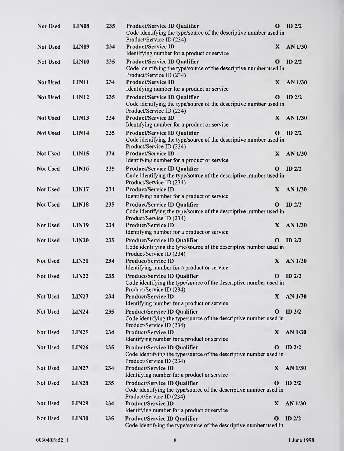| <b>Not Used</b> | <b>LIN08</b> | 235 | <b>Product/Service ID Qualifier</b><br>Code identifying the type/source of the descriptive number used in<br>Product/Service ID (234) | $\mathbf{O}$      | $ID$ 2/2          |
|-----------------|--------------|-----|---------------------------------------------------------------------------------------------------------------------------------------|-------------------|-------------------|
| <b>Not Used</b> | <b>LIN09</b> | 234 | <b>Product/Service ID</b><br>Identifying number for a product or service                                                              | X                 | AN 1/30           |
| Not Used        | <b>LIN10</b> | 235 | <b>Product/Service ID Qualifier</b><br>Code identifying the type/source of the descriptive number used in<br>Product/Service ID (234) | $\mathbf{\Omega}$ | ID $2/2$          |
| <b>Not Used</b> | <b>LIN11</b> | 234 | <b>Product/Service ID</b><br>Identifying number for a product or service                                                              | X                 | <b>AN 1/30</b>    |
| <b>Not Used</b> | <b>LIN12</b> | 235 | <b>Product/Service ID Qualifier</b><br>Code identifying the type/source of the descriptive number used in<br>Product/Service ID (234) | O                 | ID $2/2$          |
| <b>Not Used</b> | <b>LIN13</b> | 234 | <b>Product/Service ID</b><br>Identifying number for a product or service                                                              | X                 | <b>AN 1/30</b>    |
| <b>Not Used</b> | <b>LIN14</b> | 235 | <b>Product/Service ID Qualifier</b><br>Code identifying the type/source of the descriptive number used in<br>Product/Service ID (234) | $\mathbf{\Omega}$ | ID $2/2$          |
| <b>Not Used</b> | <b>LIN15</b> | 234 | <b>Product/Service ID</b><br>Identifying number for a product or service                                                              | X                 | <b>AN 1/30</b>    |
| <b>Not Used</b> | <b>LIN16</b> | 235 | <b>Product/Service ID Qualifier</b><br>Code identifying the type/source of the descriptive number used in<br>Product/Service ID (234) | 0                 | ID $2/2$          |
| <b>Not Used</b> | <b>LIN17</b> | 234 | <b>Product/Service ID</b><br>Identifying number for a product or service                                                              | X                 | AN 1/30           |
| <b>Not Used</b> | <b>LIN18</b> | 235 | <b>Product/Service ID Qualifier</b><br>Code identifying the type/source of the descriptive number used in<br>Product/Service ID (234) | O                 | ID $2/2$          |
| <b>Not Used</b> | <b>LIN19</b> | 234 | <b>Product/Service ID</b><br>Identifying number for a product or service                                                              | X                 | <b>AN 1/30</b>    |
| <b>Not Used</b> | <b>LIN20</b> | 235 | <b>Product/Service ID Qualifier</b><br>Code identifying the type/source of the descriptive number used in<br>Product/Service ID (234) | O                 | ID <sub>2/2</sub> |
| <b>Not Used</b> | <b>LIN21</b> | 234 | <b>Product/Service ID</b><br>Identifying number for a product or service                                                              | X                 | <b>AN 1/30</b>    |
| <b>Not Used</b> | <b>LIN22</b> | 235 | <b>Product/Service ID Qualifier</b><br>Code identifying the type/source of the descriptive number used in<br>Product/Service ID (234) | O                 | $ID$ 2/2          |
| <b>Not Used</b> | LIN23        | 234 | <b>Product/Service ID</b><br>Identifying number for a product or service                                                              | X                 | <b>AN 1/30</b>    |
| <b>Not Used</b> | <b>LIN24</b> | 235 | <b>Product/Service ID Qualifier</b><br>Code identifying the type/source of the descriptive number used in<br>Product/Service ID (234) | O                 | ID $2/2$          |
| <b>Not Used</b> | <b>LIN25</b> | 234 | <b>Product/Service ID</b><br>Identifying number for a product or service                                                              | X                 | AN 1/30           |
| <b>Not Used</b> | <b>LIN26</b> | 235 | <b>Product/Service ID Qualifier</b><br>Code identifying the type/source of the descriptive number used in<br>Product/Service ID (234) | O                 | ID $2/2$          |
| <b>Not Used</b> | <b>LIN27</b> | 234 | <b>Product/Service ID</b><br>Identifying number for a product or service                                                              | X                 | <b>AN 1/30</b>    |
| <b>Not Used</b> | <b>LIN28</b> | 235 | <b>Product/Service ID Qualifier</b><br>Code identifying the type/source of the descriptive number used in<br>Product/Service ID (234) | O                 | ID $2/2$          |
| <b>Not Used</b> | <b>LIN29</b> | 234 | <b>Product/Service ID</b><br>Identifying number for a product or service                                                              | X                 | AN 1/30           |
| Not Used        | <b>LIN30</b> | 235 | <b>Product/Service ID Qualifier</b><br>Code identifying the type/source of the descriptive number used in                             | $\mathbf{\Omega}$ | ID $2/2$          |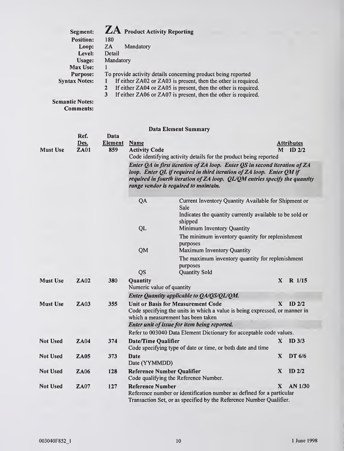| Segment:                                    | <b>ZA</b> Product Activity Reporting                                           |
|---------------------------------------------|--------------------------------------------------------------------------------|
| <b>Position:</b>                            | 180                                                                            |
| Loop:                                       | ZA<br>Mandatory                                                                |
| Level:                                      | Detail                                                                         |
| Usage:                                      | Mandatory                                                                      |
| Max Use:                                    |                                                                                |
| <b>Purpose:</b>                             | To provide activity details concerning product being reported                  |
| <b>Syntax Notes:</b>                        | If either ZA02 or ZA03 is present, then the other is required.                 |
|                                             | If either ZA04 or ZA05 is present, then the other is required.<br>$\mathbf{2}$ |
|                                             | 3<br>If either ZA06 or ZA07 is present, then the other is required.            |
| $C_{\text{max}} = 42 \times N_{\text{max}}$ |                                                                                |

Semantic Notes: Comments:

## Data Element Summary

| Ref.<br>Des.<br><b>Must Use</b><br><b>ZA01</b> | Data<br><b>Element</b><br>859 | <b>Name</b><br><b>Activity Code</b> | Code identifying activity details for the product being reported                                                                                                                                                                                                            |                                                                                                                                              | <b>Attributes</b><br>$M$ ID $2/2$ |          |         |  |  |
|------------------------------------------------|-------------------------------|-------------------------------------|-----------------------------------------------------------------------------------------------------------------------------------------------------------------------------------------------------------------------------------------------------------------------------|----------------------------------------------------------------------------------------------------------------------------------------------|-----------------------------------|----------|---------|--|--|
|                                                |                               |                                     | Enter QA in first iteration of ZA loop. Enter QS in second iteration of ZA<br>loop. Enter QL if required in third iteration of ZA loop. Enter QM if<br>required in fourth iteration of ZA loop. QL/QM entries specify the quantity<br>range vendor is required to maintain. |                                                                                                                                              |                                   |          |         |  |  |
|                                                |                               |                                     | QA                                                                                                                                                                                                                                                                          | Current Inventory Quantity Available for Shipment or<br>Sale                                                                                 |                                   |          |         |  |  |
|                                                |                               | QL                                  | Indicates the quantity currently available to be sold or<br>shipped<br>Minimum Inventory Quantity                                                                                                                                                                           |                                                                                                                                              |                                   |          |         |  |  |
|                                                |                               |                                     | The minimum inventory quantity for replenishment<br>purposes                                                                                                                                                                                                                |                                                                                                                                              |                                   |          |         |  |  |
|                                                |                               | <b>QM</b>                           | Maximum Inventory Quantity                                                                                                                                                                                                                                                  |                                                                                                                                              |                                   |          |         |  |  |
|                                                |                               |                                     | The maximum inventory quantity for replenishment<br>purposes                                                                                                                                                                                                                |                                                                                                                                              |                                   |          |         |  |  |
| <b>Must Use</b>                                |                               | 380<br><b>ZA02</b>                  | QS<br>Quantity                                                                                                                                                                                                                                                              | <b>Quantity Sold</b>                                                                                                                         | $\mathbf X$                       |          |         |  |  |
|                                                |                               |                                     | R 1/15<br>Numeric value of quantity                                                                                                                                                                                                                                         |                                                                                                                                              |                                   |          |         |  |  |
|                                                |                               |                                     | Enter Quantity applicable to QA/QS/QL/QM.                                                                                                                                                                                                                                   |                                                                                                                                              |                                   |          |         |  |  |
| <b>Must Use</b><br><b>ZA03</b>                 | 355                           |                                     | <b>Unit or Basis for Measurement Code</b><br>Code specifying the units in which a value is being expressed, or manner in<br>which a measurement has been taken<br>Enter unit of issue for item being reported.                                                              | $\mathbf{X}$                                                                                                                                 | ID $2/2$                          |          |         |  |  |
|                                                |                               |                                     | Refer to 003040 Data Element Dictionary for acceptable code values.                                                                                                                                                                                                         |                                                                                                                                              |                                   |          |         |  |  |
| <b>Not Used</b>                                | <b>ZA04</b>                   | 374                                 | <b>Date/Time Qualifier</b>                                                                                                                                                                                                                                                  | Code specifying type of date or time, or both date and time                                                                                  | $\mathbf{X}$                      | ID 3/3   |         |  |  |
| <b>Not Used</b>                                | <b>ZA05</b>                   | 373                                 | <b>Date</b><br>Date (YYMMDD)                                                                                                                                                                                                                                                |                                                                                                                                              | X                                 |          | DT 6/6  |  |  |
| <b>Not Used</b>                                | <b>ZA06</b>                   | 128                                 |                                                                                                                                                                                                                                                                             | <b>Reference Number Qualifier</b><br>Code qualifying the Reference Number.                                                                   | X                                 | ID $2/2$ |         |  |  |
| <b>Not Used</b>                                | <b>ZA07</b>                   | 127                                 | <b>Reference Number</b>                                                                                                                                                                                                                                                     | Reference number or identification number as defined for a particular<br>Transaction Set, or as specified by the Reference Number Qualifier. | X                                 |          | AN 1/30 |  |  |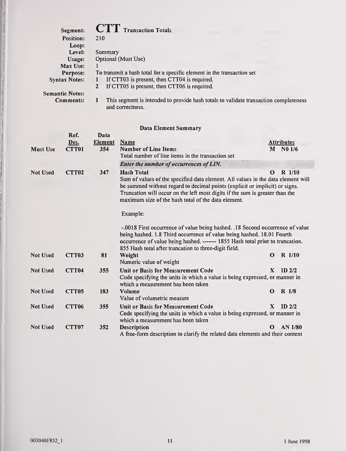| Segment:               | <b>CTT</b> Transaction Totals                                                        |
|------------------------|--------------------------------------------------------------------------------------|
| <b>Position:</b>       | 210                                                                                  |
| Loop:                  |                                                                                      |
| Level:                 | Summary                                                                              |
| Usage:                 | <b>Optional</b> (Must Use)                                                           |
| Max Use:               |                                                                                      |
| <b>Purpose:</b>        | To transmit a hash total for a specific element in the transaction set               |
| <b>Syntax Notes:</b>   | If CTT03 is present, then CTT04 is required.                                         |
|                        | If CTT05 is present, then CTT06 is required.                                         |
| <b>Semantic Notes:</b> |                                                                                      |
| <b>Comments:</b>       | This segment is intended to provide hash totals to validate transaction completeness |

## Data Element Summary

and correctness.

|                          | Ref.              | Data                                                                             |                                                                                                                                                                                                                                                                                                                             |                   |          |
|--------------------------|-------------------|----------------------------------------------------------------------------------|-----------------------------------------------------------------------------------------------------------------------------------------------------------------------------------------------------------------------------------------------------------------------------------------------------------------------------|-------------------|----------|
|                          | Des.              | <b>Element</b>                                                                   | <b>Name</b>                                                                                                                                                                                                                                                                                                                 | <b>Attributes</b> |          |
| CTT01<br><b>Must Use</b> | 354               | <b>Number of Line Items</b><br>Total number of line items in the transaction set |                                                                                                                                                                                                                                                                                                                             | M N0 1/6          |          |
|                          |                   |                                                                                  | Enter the number of occurrences of LIN.                                                                                                                                                                                                                                                                                     |                   |          |
| <b>Not Used</b>          | <b>CTT02</b>      | 347                                                                              | <b>Hash Total</b><br>Sum of values of the specified data element. All values in the data element will<br>be summed without regard to decimal points (explicit or implicit) or signs.<br>Truncation will occur on the left most digits if the sum is greater than the<br>maximum size of the hash total of the data element. | $\Omega$          | R 1/10   |
|                          |                   |                                                                                  | Example:<br>-.0018 First occurrence of value being hashed. .18 Second occurrence of value<br>being hashed. 1.8 Third occurrence of value being hashed. 18.01 Fourth<br>occurrence of value being hashed. ------- 1855 Hash total prior to truncation.<br>855 Hash total after truncation to three-digit field.              |                   |          |
| <b>Not Used</b>          | <b>CTT03</b>      | 81                                                                               | Weight<br>Numeric value of weight                                                                                                                                                                                                                                                                                           | $\Omega$          | R 1/10   |
| <b>Not Used</b>          | <b>CTT04</b>      | 355                                                                              | <b>Unit or Basis for Measurement Code</b><br>Code specifying the units in which a value is being expressed, or manner in<br>which a measurement has been taken                                                                                                                                                              | X.                | ID $2/2$ |
| <b>Not Used</b>          | <b>CTT05</b>      | 183                                                                              | Volume<br>Value of volumetric measure                                                                                                                                                                                                                                                                                       | $\Omega$          | R 1/8    |
| <b>Not Used</b>          | <b>CTT06</b>      | 355                                                                              | <b>Unit or Basis for Measurement Code</b><br>Code specifying the units in which a value is being expressed, or manner in<br>which a measurement has been taken                                                                                                                                                              | X.                | ID $2/2$ |
| <b>Not Used</b>          | CTT <sub>07</sub> | 352                                                                              | <b>Description</b><br>A free-form description to clarify the related data elements and their content                                                                                                                                                                                                                        | 0                 | AN 1/80  |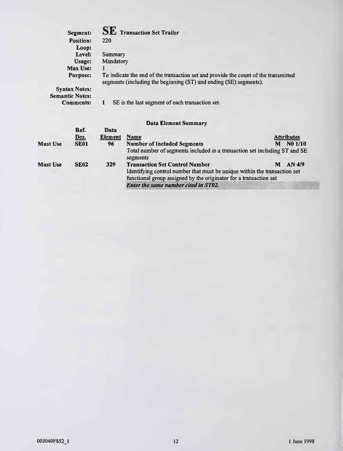|          | Segment:               |                | <b>SE</b> Transaction Set Trailer                                                                                                                        |
|----------|------------------------|----------------|----------------------------------------------------------------------------------------------------------------------------------------------------------|
|          | <b>Position:</b>       | <b>220</b>     |                                                                                                                                                          |
|          | Loop:                  |                |                                                                                                                                                          |
|          | Level:                 | Summary        |                                                                                                                                                          |
|          | Usage:                 | Mandatory      |                                                                                                                                                          |
|          | Max Use:               |                |                                                                                                                                                          |
|          | <b>Purpose:</b>        |                | To indicate the end of the transaction set and provide the count of the transmitted<br>segments (including the beginning (ST) and ending (SE) segments). |
|          | <b>Syntax Notes:</b>   |                |                                                                                                                                                          |
|          | <b>Semantic Notes:</b> |                |                                                                                                                                                          |
|          | <b>Comments:</b>       |                | SE is the last segment of each transaction set.                                                                                                          |
|          |                        |                | <b>Data Element Summary</b>                                                                                                                              |
|          | Ref.                   | Data           |                                                                                                                                                          |
|          | Des.                   | <b>Element</b> | <b>Name</b><br><b>Attributes</b>                                                                                                                         |
| Must Use | <b>SE01</b>            | 96             | <b>Number of Included Segments</b><br>N01/10<br>M                                                                                                        |
|          |                        |                | Total number of segments included in a transaction set including ST and SE<br>segments                                                                   |

Enter the same number cited in ST02.

Identifying control number that must be unique within the transaction set

functional group assigned by the originator for a transaction set

Must Use SE02 329 Transaction Set Control Number M AN 4/9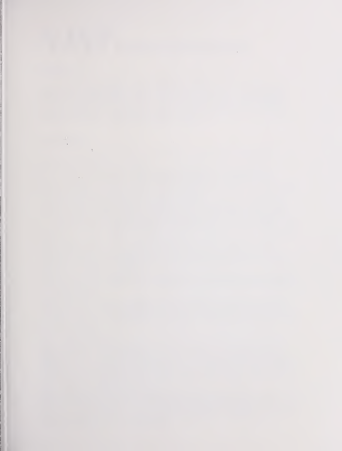#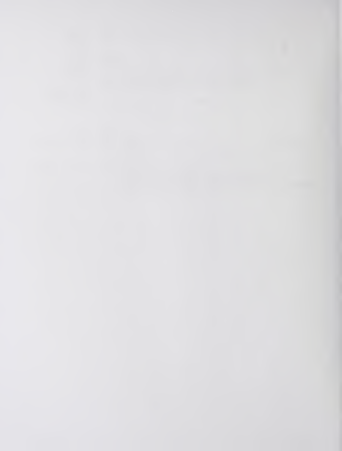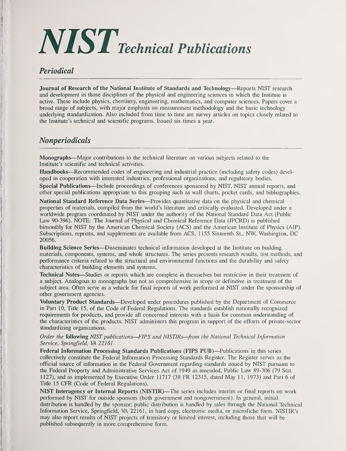# NIST Technical Publications

## Periodical

Journal of Research of the National Institute of Standards and Technology—Reports NIST research and development in those disciplines of the physical and engineering sciences in which the Institute is active. These include physics, chemistry, engineering, mathematics, and computer sciences. Papers cover a broad range of subjects, with major emphasis on measurement methodology and the basic technology underlying standardization. Also included from time to time are survey articles on topics closely related to the Institute's technical and scientific programs. Issued six times a year.

## Nonperiodicals

Monographs—Major contributions to the technical literature on various subjects related to the Instimte's scientific and technical activities.

Handbooks—Recommended codes of engineering and industrial practice (including safety codes) developed in cooperation with interested industries, professional organizations, and regulatory bodies. Special Publications—Include proceedings of conferences sponsored by NIST, NIST annual reports, and

other special publications appropriate to this grouping such as wall charts, pocket cards, and bibliographies.

National Standard Reference Data Series—Provides quantitative data on the physical and chemical properties of materials, compiled from the world's literature and critically evaluated. Developed under a worldwide program coordinated by NIST under the authority of the National Standard Data Act (Public Law 90-396). NOTE: The Journal of Physical and Chemical Reference Data (JPCRD) is published bimonthly for NIST by the American Chemical Society (ACS) and the American Institute of Physics (AIP). Subscriptions, reprints, and supplements are available from ACS, <sup>1155</sup> Sixteenth St., NW, Washington, DC 20056.

Building Science Series—Disseminates technical information developed at the Institute on building materials, components, systems, and whole structures. The series presents research results, test methods, and performance criteria related to the structural and environmental functions and the durability and safety characteristics of building elements arid systems.

Technical Notes—Studies or reports which are complete in themselves but restrictive in their treatment of a subject. Analogous to monographs but not so comprehensive in scope or definitive in treatment of the subject area. Often serve as a vehicle for final reports of work performed at NIST under the sponsorship of other government agencies.

Voluntary Product Standards—Developed under procedures published by the Department of Commerce in Part 10, Title 15, of the Code of Federal Regulations. The standards establish nationally recognized requirements for products, and provide all concerned interests with a basis for common understanding of the characteristics of the products. NIST administers this program in support of the efforts of private-sector standardizing organizations.

#### Order the following NIST publications—FIPS and NISTIRs—from the National Technical Information Service, Springfield, VA 22161.

Federal Information Processing Standards Publications (FIPS PUB)—Publications in this series collectively constitute the Federal Information Processing Standards Register. The Register serves as the official source of information in the Federal Government regarding standards issued by NIST pursuant to the Federal Property and Administrative Services Act of 1949 as amended. Public Law 89-306 (79 Stat. 1127), and as implemented by Executive Order 11717 (38 FR 12315, dated May 11, 1973) and Part 6 of Title <sup>15</sup> CFR (Code of Federal Regulations).

NIST Interagency or Internal Reports (NISTIR)—The series includes interim or final reports on work performed by NIST for outside sponsors (both government and nongovernment). In general, initial distribution is handled by the sponsor; public distribution is handled by sales through the National Technical Information Service, Springfield, VA 22161, in hard copy, electronic media, or microfiche form. NISTIR's may also report results of NIST projects of transitory or limited interest, including those that will be published subsequently in more comprehensive form.